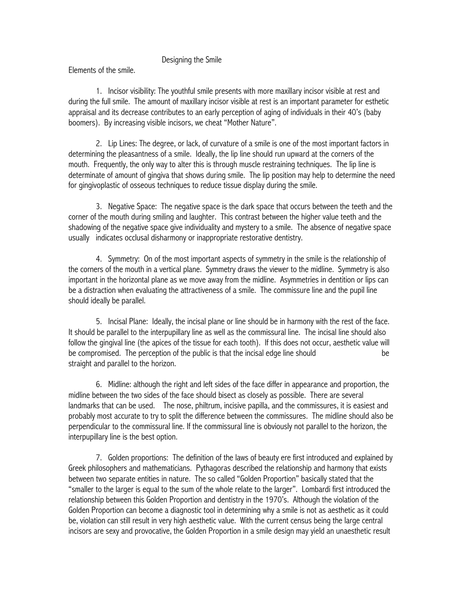## Designing the Smile

Elements of the smile.

1. Incisor visibility: The youthful smile presents with more maxillary incisor visible at rest and during the full smile. The amount of maxillary incisor visible at rest is an important parameter for esthetic appraisal and its decrease contributes to an early perception of aging of individuals in their 40's (baby boomers). By increasing visible incisors, we cheat "Mother Nature".

2. Lip Lines: The degree, or lack, of curvature of a smile is one of the most important factors in determining the pleasantness of a smile. Ideally, the lip line should run upward at the corners of the mouth. Frequently, the only way to alter this is through muscle restraining techniques. The lip line is determinate of amount of gingiva that shows during smile. The lip position may help to determine the need for gingivoplastic of osseous techniques to reduce tissue display during the smile.

3. Negative Space: The negative space is the dark space that occurs between the teeth and the corner of the mouth during smiling and laughter. This contrast between the higher value teeth and the shadowing of the negative space give individuality and mystery to a smile. The absence of negative space usually indicates occlusal disharmony or inappropriate restorative dentistry.

4. Symmetry: On of the most important aspects of symmetry in the smile is the relationship of the corners of the mouth in a vertical plane. Symmetry draws the viewer to the midline. Symmetry is also important in the horizontal plane as we move away from the midline. Asymmetries in dentition or lips can be a distraction when evaluating the attractiveness of a smile. The commissure line and the pupil line should ideally be parallel.

5. Incisal Plane: Ideally, the incisal plane or line should be in harmony with the rest of the face. It should be parallel to the interpupillary line as well as the commissural line. The incisal line should also follow the gingival line (the apices of the tissue for each tooth). If this does not occur, aesthetic value will be compromised. The perception of the public is that the incisal edge line should be straight and parallel to the horizon.

6. Midline: although the right and left sides of the face differ in appearance and proportion, the midline between the two sides of the face should bisect as closely as possible. There are several landmarks that can be used. The nose, philtrum, incisive papilla, and the commissures, it is easiest and probably most accurate to try to split the difference between the commissures. The midline should also be perpendicular to the commissural line. If the commissural line is obviously not parallel to the horizon, the interpupillary line is the best option.

7. Golden proportions: The definition of the laws of beauty ere first introduced and explained by Greek philosophers and mathematicians. Pythagoras described the relationship and harmony that exists between two separate entities in nature. The so called "Golden Proportion" basically stated that the "smaller to the larger is equal to the sum of the whole relate to the larger". Lombardi first introduced the relationship between this Golden Proportion and dentistry in the 1970's. Although the violation of the Golden Proportion can become a diagnostic tool in determining why a smile is not as aesthetic as it could be, violation can still result in very high aesthetic value. With the current census being the large central incisors are sexy and provocative, the Golden Proportion in a smile design may yield an unaesthetic result